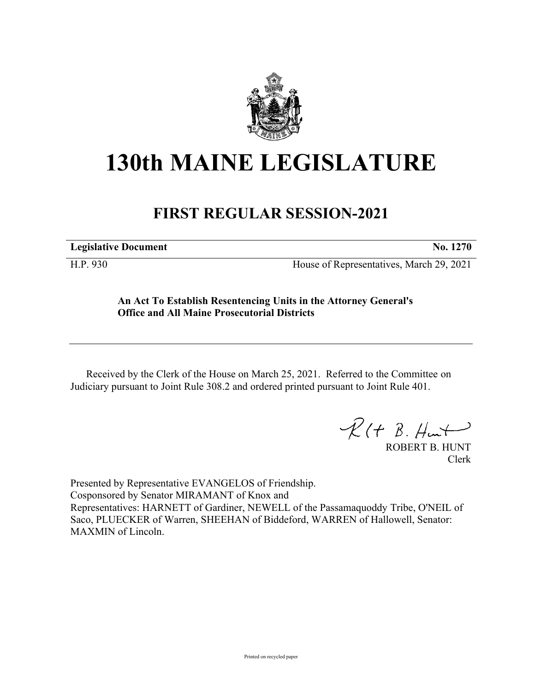

## **130th MAINE LEGISLATURE**

## **FIRST REGULAR SESSION-2021**

**Legislative Document No. 1270**

H.P. 930 House of Representatives, March 29, 2021

**An Act To Establish Resentencing Units in the Attorney General's Office and All Maine Prosecutorial Districts**

Received by the Clerk of the House on March 25, 2021. Referred to the Committee on Judiciary pursuant to Joint Rule 308.2 and ordered printed pursuant to Joint Rule 401.

 $\mathcal{R}(t \; \mathcal{B}, \#m\mathcal{H})$ 

ROBERT B. HUNT Clerk

Presented by Representative EVANGELOS of Friendship. Cosponsored by Senator MIRAMANT of Knox and Representatives: HARNETT of Gardiner, NEWELL of the Passamaquoddy Tribe, O'NEIL of Saco, PLUECKER of Warren, SHEEHAN of Biddeford, WARREN of Hallowell, Senator: MAXMIN of Lincoln.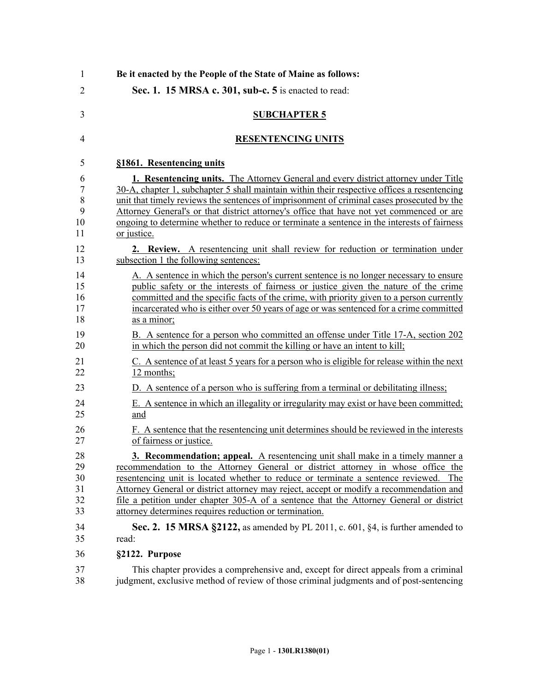| Be it enacted by the People of the State of Maine as follows:                                                                                                                                                                                                                                                                                                                                                                                                                                                |
|--------------------------------------------------------------------------------------------------------------------------------------------------------------------------------------------------------------------------------------------------------------------------------------------------------------------------------------------------------------------------------------------------------------------------------------------------------------------------------------------------------------|
| Sec. 1. 15 MRSA c. 301, sub-c. 5 is enacted to read:                                                                                                                                                                                                                                                                                                                                                                                                                                                         |
| <b>SUBCHAPTER 5</b>                                                                                                                                                                                                                                                                                                                                                                                                                                                                                          |
| <b>RESENTENCING UNITS</b>                                                                                                                                                                                                                                                                                                                                                                                                                                                                                    |
| §1861. Resentencing units                                                                                                                                                                                                                                                                                                                                                                                                                                                                                    |
| <b>1. Resentencing units.</b> The Attorney General and every district attorney under Title<br>30-A, chapter 1, subchapter 5 shall maintain within their respective offices a resentencing<br>unit that timely reviews the sentences of imprisonment of criminal cases prosecuted by the<br>Attorney General's or that district attorney's office that have not yet commenced or are<br>ongoing to determine whether to reduce or terminate a sentence in the interests of fairness<br>or justice.            |
| 2. Review. A resentencing unit shall review for reduction or termination under<br>subsection 1 the following sentences:                                                                                                                                                                                                                                                                                                                                                                                      |
| A. A sentence in which the person's current sentence is no longer necessary to ensure<br>public safety or the interests of fairness or justice given the nature of the crime<br>committed and the specific facts of the crime, with priority given to a person currently<br>incarcerated who is either over 50 years of age or was sentenced for a crime committed<br>as a minor;                                                                                                                            |
| B. A sentence for a person who committed an offense under Title 17-A, section 202<br>in which the person did not commit the killing or have an intent to kill;                                                                                                                                                                                                                                                                                                                                               |
| C. A sentence of at least 5 years for a person who is eligible for release within the next<br>12 months;                                                                                                                                                                                                                                                                                                                                                                                                     |
| D. A sentence of a person who is suffering from a terminal or debilitating illness;                                                                                                                                                                                                                                                                                                                                                                                                                          |
| E. A sentence in which an illegality or irregularity may exist or have been committed;<br>and                                                                                                                                                                                                                                                                                                                                                                                                                |
| F. A sentence that the resentencing unit determines should be reviewed in the interests<br>of fairness or justice.                                                                                                                                                                                                                                                                                                                                                                                           |
| 3. Recommendation; appeal. A resentencing unit shall make in a timely manner a<br>recommendation to the Attorney General or district attorney in whose office the<br>resentencing unit is located whether to reduce or terminate a sentence reviewed.<br>The<br>Attorney General or district attorney may reject, accept or modify a recommendation and<br>file a petition under chapter 305-A of a sentence that the Attorney General or district<br>attorney determines requires reduction or termination. |
| Sec. 2. 15 MRSA $\S$ 2122, as amended by PL 2011, c. 601, $\S$ 4, is further amended to<br>read:                                                                                                                                                                                                                                                                                                                                                                                                             |
| §2122. Purpose                                                                                                                                                                                                                                                                                                                                                                                                                                                                                               |
| This chapter provides a comprehensive and, except for direct appeals from a criminal<br>judgment, exclusive method of review of those criminal judgments and of post-sentencing                                                                                                                                                                                                                                                                                                                              |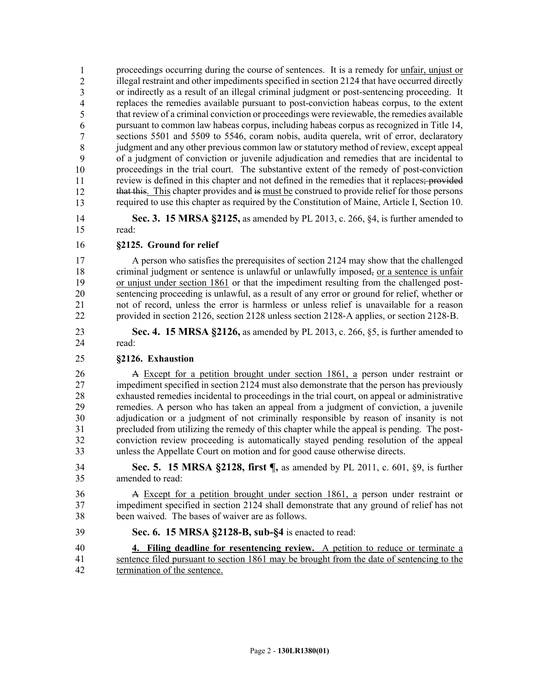proceedings occurring during the course of sentences. It is a remedy for unfair, unjust or illegal restraint and other impediments specified in section 2124 that have occurred directly or indirectly as a result of an illegal criminal judgment or post-sentencing proceeding. It 42 replaces the remedies available pursuant to post-conviction habeas corpus, to the extent that review of a criminal conviction or proceedings were reviewable, the remedies available pursuant to common law habeas corpus, including habeas corpus as recognized in Title 14, sections 5501 and 5509 to 5546, coram nobis, audita querela, writ of error, declaratory judgment and any other previous common law or statutory method of review, except appeal 47 of a judgment of conviction or juvenile adjudication and remedies that are incidental to 48 proceedings in the trial court. The substantive extent of the remedy of post-conviction review is defined in this chapter and not defined in the remedies that it replaces; provided that this. This chapter provides and is must be construed to provide relief for those persons 51 required to use this chapter as required by the Constitution of Maine, Article I, Section 10. 1 2 3 4 5 6 7 8 9 10 11 12 13

- 14 **Sec. 3. 15 MRSA §2125,** as amended by PL 2013, c. 266, §4, is further amended to 15 read:
- 16 **§2125. Ground for relief**

17 A person who satisfies the prerequisites of section 2124 may show that the challenged 18 criminal judgment or sentence is unlawful or unlawfully imposed, or a sentence is unfair 19 or unjust under section 1861 or that the impediment resulting from the challenged post-20 sentencing proceeding is unlawful, as a result of any error or ground for relief, whether or 21 not of record, unless the error is harmless or unless relief is unavailable for a reason 22 provided in section 2126, section 2128 unless section 2128‑A applies, or section 2128‑B.

23 **Sec. 4. 15 MRSA §2126,** as amended by PL 2013, c. 266, §5, is further amended to 24 read:

## 25 **§2126. Exhaustion**

26 A Except for a petition brought under section 1861, a person under restraint or 27 impediment specified in section 2124 must also demonstrate that the person has previously 28 exhausted remedies incidental to proceedings in the trial court, on appeal or administrative 29 remedies. A person who has taken an appeal from a judgment of conviction, a juvenile 30 adjudication or a judgment of not criminally responsible by reason of insanity is not 31 precluded from utilizing the remedy of this chapter while the appeal is pending. The post-32 conviction review proceeding is automatically stayed pending resolution of the appeal 33 unless the Appellate Court on motion and for good cause otherwise directs.

34 **Sec. 5. 15 MRSA §2128, first ¶,** as amended by PL 2011, c. 601, §9, is further 35 amended to read:

36 A Except for a petition brought under section 1861, a person under restraint or 37 impediment specified in section 2124 shall demonstrate that any ground of relief has not 38 been waived. The bases of waiver are as follows.

- 39 **Sec. 6. 15 MRSA §2128-B, sub-§4** is enacted to read:
- 40 **4. Filing deadline for resentencing review.** A petition to reduce or terminate a 41 sentence filed pursuant to section 1861 may be brought from the date of sentencing to the 42 termination of the sentence.